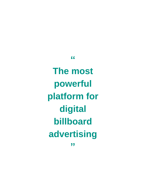**The most powerful platform for digital billboard advertising** 

**"**

**"**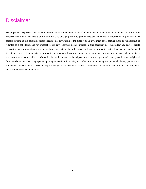# **Disclaimer**

The purpose of the present white paper is introduction of luminocoin to potential token holders in view of upcoming token sale. information proposed below does not constitute a public offer. its only purpose is to provide relevant and sufficient information to potential token holders. nothing in this document must be regarded as advertising of the product or an investment offer. nothing in the document must be regarded as a solicitation and /or proposal to buy any securities in any jurisdiction. this document does not follow any laws or rights concerning investor protection in any jurisdiction. some statements, evaluations, and financial information in the document are judgments of its authors. suggested judgments or information may contain known and unknown risks or inaccuracies, which may lead to events or outcomes with economic effects. information in the document can be subject to inaccuracies, grammatic and syntactic errors originated from translation to other languages or quoting its sections in writing or verbal form to existing and potential clients, partners, etc. luminocoin service cannot be used to acquire foreign assets and /or to avoid consequences of unlawful actions which are subject to supervision by financial regulators.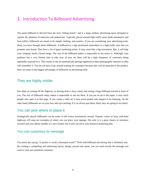## 1. Introduction To Billboard Advertising

The name billboard is derived from the term "billing board," and is a large outdoor advertising space designed to capture the attention of motorists and pedestrians. Typically placed around high traffic areas (both automotive and foot traffic), billboards are meant to be simple, striking, and creative. If you are considering your advertising tools, likely you have thought about billboards. A billboard is a sign positioned somewhere in a high-traffic area that can promote your brand. They have a lot of great marketing power. It may seem like a big investment. But, it will help your company build a brand image. The size of the billboard makes it impossible to not notice it. Although, your audience has a very limited time to take note of your ad, there will be a high frequency of customers being repeatedly exposed to it. This results in the ad automatically getting registered in their photographic memory so they will remember it. You do not have to go around looking for customers because they will be attracted to the product. Here are some of the biggest advantages of billboards as advertising tools:

#### They are highly visible

Just think of coming off the highway, or driving down a busy street, and seeing a huge billboard erected in front of you. The size of billboards today makes it impossible to not see them. If you put an ad in the paper, it may reach people who open it to that page. If you create a radio ad, it may reach people who happen to be listening. On the other hand, billboards are in-your-face and eye-catching. If a car drives past them, likely they are going to see them!

#### You can pick where to place it

Strategically placed billboards can be some of the wisest investments around. Popular corner or busy rush-hour highways off ramp are examples of where you can place your signage. Not only is it a great chance to introduce yourself and your phone number to a new market, but it also can drive your business marketing plan.

#### You can customize its message

You know the saying "A picture is worth a thousand words"? Well with billboard advertising that is definitely true. By creating a compelling and interesting layout, design, picture and quote, you can send exactly the message you want to your new potential customers.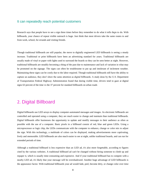#### It can repeatedly reach potential customers

Research says that people have to see a sign three times before they remember to do what it tells them to do. With billboards, your chance of repeat visible outreach is huge. Just think that most drivers take the same routes to and from work, school, for errands and visiting friends.

Though traditional billboards are still popular, the move to digitally engineered LED billboards is seeing a steady increase. Traditional or print billboards have been an advertising standard for years. Traditional billboards are usually made of vinyl or paper with lights used to surround the boards so they can be seen better at night. However, traditional billboards are steadily becoming a thing of the past due to maintenance and lack of variation in what may be promoted on the signage. The signs can often be troublesome to put up and intolerant of inclement weather. Maintaining these signs can be costly due to the labor required. Though traditional billboards still have the ability to capture an audience, they don't draw the same attention as digital billboards. A study done by the [U.S. Department](http://www.fhwa.dot.gov/real_estate/oac/visual_behavior_report/final/cevmsfinal01.cfm)  [of Transportation Federal](http://www.fhwa.dot.gov/real_estate/oac/visual_behavior_report/final/cevmsfinal01.cfm) [Highway Administration f](http://www.fhwa.dot.gov/real_estate/oac/visual_behavior_report/final/cevmsfinal01.cfm)ound that during visible time, drivers tend to gaze at digital signs 63 percent of the time vs the 37 percent for standard billboards on urban roads

### 2. Digital Billboard

Digital billboards use LED arrays to display computer-automated messages and images. As electronic billboards are controlled and operated using a computer, they are much easier to change and maintain than traditional billboards. Digital billboards offer businesses the opportunity to update and modify messages to their audience as often as possible with the use of a computer. Basic pixels in a billboard consist of red, blue and green LEDs. Using a microprocessor or logic chip, the LEDs communicate with the computer to enhance, change or color mix to adjust the sign. With this technology, a multitude of colors can be displayed, making advertisements more captivating, lively and memorable. LED billboards are also much easier to see at night, unlike traditional boards, and can run for extended periods of time.

Although a traditional billboard is less expensive than an LED ad, it's also more forgettable, according to figures cited by the various websites. A traditional billboard ad can't be changed without hiring someone to climb up and repaper it, which is usually time-consuming and expensive. And if your traditional billboard has to compete with a nearby LED ad, it's likely that your message will be overshadowed. Another huge advantage of LED billboards is the appearance factor. With traditional billboards your ad would fade, peel, become dirty, or change color over time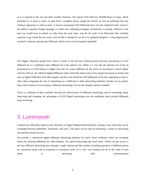as it is exposed to the sun and other weather elements. The typical LED bulb last 100,000 hours or more, which translates to 11 years or more, so apart from a complete power outage the chances of your ad suffering from any rundown appearance is slim to none. A massive advantage LED billboards have over the traditional static option is the ability to quickly change messages to reflect new marketing strategies, promotions, or pricing. Whereas in the past you would have to submit an order from the print shop, wait for the print to be fabricated, then schedule someone to go install the new print; now all that is needed for an ad to be updated/changed is a final digital proof emailed to whoever operates the billboard, which in turn can be instantly uploaded!

The biggest objection people have when it comes to the decision making process between purchasing an LED billboard ad or a traditional static billboard ad is the upfront cost. While it is true that the upfront cost of the ad purchased on an LED display is higher than that of a static billboard ad, the return on investment is much higher with the LED ad. An Arbitron Digital Billboard study found that almost one in five people discussed an ad they had seen on digital billboards with other people, and they also found the LED billboards to be more appealing to look at. Also when comparing the cost of advertising on a billboard to other advertising mediums, besides an on premise sign at the location of your business, billboard advertising is by far the cheapest option available!

There is a plethora of data available showing the effectiveness of billboard advertising, and as technology keeps improving and changing, the advantages of LED Digital advertising over the traditional static printed billboards keep increasing.

# 3. Luminocoin

LuminoCoin efficiently improves the efficiency of digital billboard advertising by creating a new token that can be exchanged between publishers, advertisers, and users. The token can be used for obtaining a variety of advertising and attention-based services.

We provide a centralized digital billboard advertising platform for entire Asian continent. Users can exchange tokens for utilizing billboards for video displays, live speech telecasting and much more. Clients can get access to the best billboard advertising sites through a single channel and the troubles of making payments at different points are minimized along with an assurance of maximum result. It's a win –win situation for all as the value of each token is is increasing with eachtransaction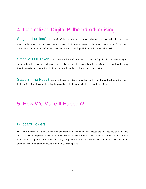# 4. Centralized Digital Billboard Advertising

Stage 1: LuminoCoin LuminoCoin is a fast, open source, privacy-focused centralized browser for digital billboard advertisement seekers. We provide the towers for digital billboard advertisements in Asia. Clients can invest in LuminoCoin and obtain token and thus purchase digital bill board location and time slots.

Stage 2: Our Token The Token can be used to obtain a variety of digital billboard advertising and attention-based services through platform, as it is exchanged between the clients, existing users and us. Existing investors receive a high profit as the token value will surely rise through token transactions.

Stage 3: The Result Digital billboard advertisement is displayed in the desired location of the clients in the desired time slots after learning the potential of the location which can benefit the client.

# 5. How We Make It Happen?

#### Billboard Towers

.

We own billboard towers in various locations from which the clients can choose their desired location and time slots. Our team of experts will also do an in-depth study of the locations to decide where the ad must be placed. This will give a clear picture to the client and they can place the ad in the location which will give them maximum attention. Maximum attention means maximum sales and profit.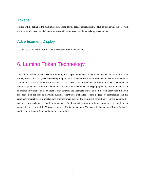#### **Tokens**

Tokens will be acting as the medium of transaction for the digital advertisement. Value of tokens will increase with the number of transaction. Token transactions will be between the clients, existing users and us.

### Advertisement Display

Ads will be displayed in locations and timeslots chosen by the clients.

# 6. Lumino Token Technology

The Lumino Token a token based on Ethereum, is an important element of a new marketplace. Ethereum is an open source, blockchain-based, distributed computing platform oriented towards smart contracts. Effectively, Ethereum is a distributed virtual machine that allows end users to construct smart contracts for transactions. Smart contracts are stateful applications stored in the Ethereum blockchain.These contracts are cryptographically secure and can verify or enforce performance of the contract. Token contracts are a standard feature of the Ethereum ecosystem. Ethereum has been used for mobile payment systems, distributed exchanges, tokens pegged to commodities and fiat currencies, market clearing mechanisms, micropayment systems for distributed computing resources, commodities and securities exchanges, crowd funding, and legal document verification. Large firms have invested in and deployed Ethereum, with JP Morgan, Deloitte, IBM, Santander Bank, Microsoft, the Luxembourg Stock Exchange, and the Royal Bank of Scotland being key early adopters.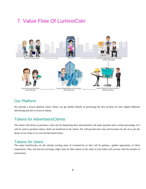# 7. Value Flow Of LuminoCoin



### Our Platform

We provide a secure platform where clients can get double benefit of purchasing the best location for their digital billboard advertising and also to invest in tokens.

### Tokens for Advertisers/Clients

The clients who desire to purchase a time slot for displaying their advertisement will make payment and a certain percentage of it will be used to purchase tokens which are beneficial to the clients. We will provide time slots and locations for the ad as per the desire of our client as we own the bill board towers.

#### Tokens for Users

The major beneficiaries are the already existing users of LuminoCoin as they will be getting a golden opportunity of token transactions. They will also be receiving a high value for their tokens as the value of each token will increase with the number of transactions.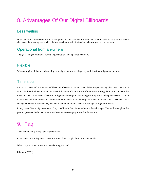# 8. Advantages Of Our Digital Billboards

### Less waiting

With our digital billboards, the wait for publishing is completely eliminated. The ad will be sent to the screen electronically, meaning there will only be a maximum wait of a few hours before your ad can be seen.

### Operational from anywhere

The great thing about digital advertising is that it can be operated remotely.

### Flexible

With our digital billboards, advertising campaigns can be altered quickly with less forward planning required.

#### Time slots

Certain products and promotions will be extra effective at certain times of day. By purchasing advertising space on a digital billboard, clients can choose several different ads to run at different times during the day, to increase the impact of their promotions. The onset of digital technology in advertising can only serve to help businesses promote themselves and their services in more effective manners. As technology continues to advance and consumer habits change with these advancements, businesses should be looking to take advantage of digital billboards.

It may seem like a big investment. But, it will help the clients to build a brand image. This will strengthen the product presence in the market as it reaches numerous target groups simultaneously.

# 9. Faq

Are LuminoCoin [LUM] Tokens transferable?

LUM Token is a utility token meant for use in the LUM platform. It is transferable.

What crypto-currencies were accepted during the sale?

Ethereum (ETH)